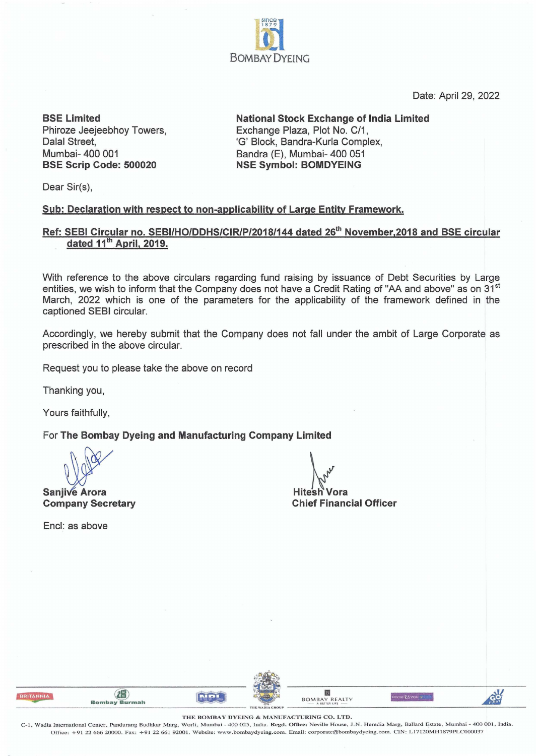

Date: April 29, 2022

**BSE Limited**  Phiroze Jeejeebhoy Towers, Dalal Street, Mumbai- 400 001 **BSE Scrip Code: 500020** 

**National Stock Exchange of India Limited**  Exchange Plaza, Plot No. C/1, 'G' Block, Bandra-Kurla Complex, Bandra (E), Mumbai- 400 051 **NSE Symbol: BOMDYEING** 

Dear Sir(s),

#### **Sub: Declaration with respect to non-applicability of Large Entity Framework.**

## **Ref: SEBI Circular no. SEBI/HO/DDHS/CIR/P/2018/144 dated 26th November,2018 and BSE circular dated 11th April, 2019.**

With reference to the above circulars regarding fund raising by issuance of Debt Securities by Large entities, we wish to inform that the Company does not have a Credit Rating of "AA and above" as on 31<sup>st</sup> March, 2022 which is one of the parameters for the applicability of the framework defined in the captioned SEBI circular.

Accordingly, we hereby submit that the Company does not fall under the ambit of Large Corporate as prescribed in the above circular.

Request you to please take the above on record

Thanking you,

Yours faithfully,

For **The Bombay Dyeing and Manufacturing Company Limited** 

**Sanjive Arora**<br>Sanjive Arora<br>Company Secretary

Encl: as above

**Company Secretary Chief Financial Officer**  Chief Financial Officer

| Bombay Burmah |                 | <b>BOMBAY REALTY</b><br>A BETTER LIFE | FIR |
|---------------|-----------------|---------------------------------------|-----|
|               | THE WADIA GROUP |                                       |     |

THE BOMBAY DYEING & MANUFACTURING CO. LTD.

C- 1. Wadia Imernational Center. Pandurang Budhkar Marg., Worli, Mumbai - 400 025, India. **Regd. Office:** Neville House. J.N. Heredia Marg, Ballard Estate, Mumbai - 400 001, India. Office: +91 22 666 20000. Fax: +91 22 661 92001. Website: www.bombaydyeing.com. Email: corporate@bombaydyeing.com. CIN: L17120MH1879PLC000037